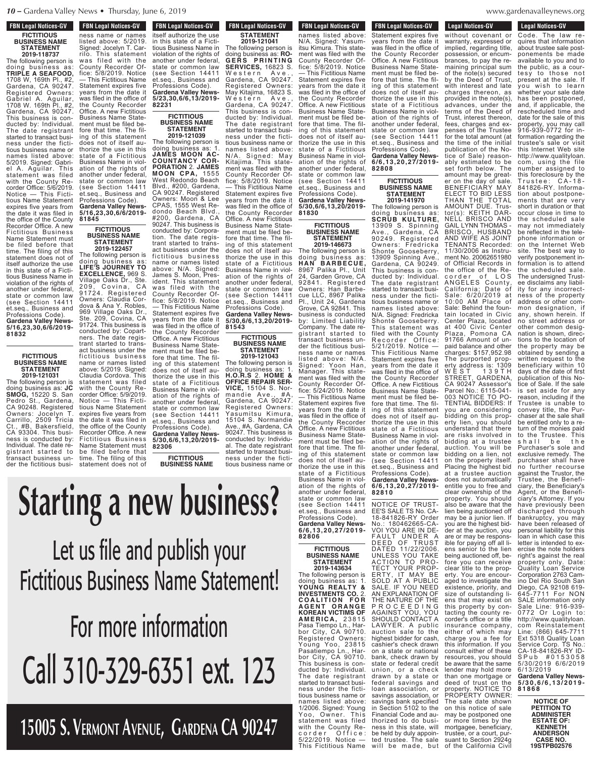# **FBN Legal Notices-GV FICTITIOUS BUSINESS NAME STATEMENT**

**2019-118737** The following person is doing business as: **TRIPLE A SEAFOOD,** 1708 W, 169th Pl., #2, Gardena, CA 90247. Registered Owners: Gabriel A. Aguilar, 1708 W. 169th Pl., #2, Gardena, CA 90247. This business is conducted by: Individual. The date registrant started to transact business under the fictitious business name or names listed above: 5/2019. Signed: Gabriel A. Aguilar. This statement was filed with the County Recorder Office: 5/6/2019. Notice — This Fictitious Name Statement expires five years from the date it was filed in the office of the County Recorder Office. A new Fictitious Business Name Statement must be filed before that time. The filing of this statement does not of itself authorize the use in this state of a Fictitious Business Name in violation of the rights of another under federal, state or common law (see Section 14411 et.seq., Business and Professions Code). **Gardena Valley News-5/16,23,30,6/6/2019- 81832**

# **FICTITIOUS BUSINESS NAME STATEMENT**

**2019-121031** The following person is doing business as: **JC SMOG,** 15220 S. San Pedro St., Gardena, CA 90248. Registered Owners: Jocelyn T. Carrillo, 2509 Tricia Ct., #B, Bakersfield, CA 93304. This business is conducted by: Individual. The date registrant started to transact business under the fictitious busi-

ness name or names listed above: 5/2019. Signed: Jocelyn T. Carrilo. This statement was filed with the County Recorder Office: 5/8/2019. Notice — This Fictitious Name Statement expires five years from the date it was filed in the office of the County Recorder Office. A new Fictitious Business Name Statement must be filed before that time. The filing of this statement does not of itself authorize the use in this state of a Fictitious Business Name in violation of the rights of another under federal, state or common law (see Section 14411 et.seq., Business and Professions Code). **Gardena Valley News-**

**FBN Legal Notices-GV** 

**THE FIGURE TO FIGURE THE FIGURE S** 

# **5/16,23,30,6/6/2019- 81845 FICTITIOUS BUSINESS NAME STATEMENT**

The following person is doing business as: **LIFE'S JOURNEY TO EXCELLENCE,** 969 S. Village Oaks Dr., Ste. 209, Covina, CA 91724. Registered Owners: Claudia Cordova & Ana Y. Robles, 969 Village Oaks Dr., Ste. 209, Covina, CA 91724. This business is conducted by: Copartners. The date registrant started to transact business under the fictitious business name or names listed above: 5/2019. Signed: Claudia Cordova. This statement was filed with the County Recorder Office: 5/9/2019. Notice — This Fictitious Name Statement expires five years from the date it was filed in the office of the County Recorder Office. A new Fictitious Business Name Statement must be filed before that time. The filing of this statement does not of

in this state of a Fictitious Business Name in violation of the rights of another under federal, state or common law (see Section 14411 et.seq., Business and Professions Code). **Gardena Valley News-5/23,30,6/6,13/2019- 82231 FICTITIOUS BUSINESS NAME STATEMENT 2019-121039** The following person is doing business as: 1. **JAMES MOON AC-COUNTANCY COR-PORATION** 2. **JAMES MOON CPA,** 1555 West Redondo Beach Blvd., #200, Gardena, CA 90247. Registered Owners: Moon & Lee

CPAS, 1555 West Redondo Beach Blvd.,<br>#200, Gardena, CA #200, Gardena, CA

**FBN Legal Notices-GV** 

**FON LEGAL NOTICES-CIV** itself authorize the use

90247. This business is conducted by: Corporation. The date registrant started to transact business under the fictitious business name or names listed above: N/A. Signed: **2019-122457**

James S. Moon, President. This statement was filed with the County Recorder Office: 5/8/2019. Notice — This Fictitious Name Statement expires five years from the date it was filed in the office of the County Recorder Office. A new Fictitious Business Name Statement must be filed before that time. The filing of this statement does not of itself authorize the use in this state of a Fictitious Business Name in violation of the rights of another under federal, state or common law (see Section 14411 et.seq., Business and Professions Code). **Gardena Valley News-5/30,6/6,13,20/2019- 82306**

**FICTITIOUS BUSINESS NAME**

#### **Starting a new business?** N/A. Signed: Yasumitsu Kimura. This statement was filed with the Racce Report fice: 5/8/2019. Notice — This Fictitious Name  $\blacksquare$ statement exp  $\mathbf{B}$   $\mathbf{B}$ **SERVICES,** 16823 S. . VV elitist  $\mathbf{v}$   $\mathbf{v}$   $\mathbf{v}$   $\mathbf{v}$ an a na state or common law 112 *(*j. 111  $\mathbf{e}$  et. Professions Code). **Gardena Valley News**listed above: 5/2019. Signed: Jocelyn T. Carrilo. This statement  $\blacksquare$  with the matrix County Record fice: 5/8/2019. No  $\sim$  case of

Let us file and publish your Fictitious Business Name Statement! and time. The filed bedoes not of itself autamanti i lennen i Business Name in viol-Gardena, CA 90247. publish y started to transact busi- $N_{\rm max}$   $\sim$   $C_{\rm L}$ . manna sta names listed above:  $. \, \ldots$ **82231 Recorder Recorder** a new Fiet fore that time. The filing of this statement  $\blacksquare$  LICTITIAL that it is the use in this term  $\sim$   $\sim$   $\sim$   $\sim$ 

For more information Call 310-329-6351 ext. 123 et.seq., Business and Professions Code). **Gardena Valley News** $f_{\alpha}$ no estate wears in the date in  $\bullet$  -  $\bullet$  -  $\bullet$  $\blacksquare$ business  $\blacksquare$ ashi nv fore that time. The fil-JJJ I UT state or common law (see Section 1441) et.seq., Business and

**15005 S. Vermont Avenue, Gardena CA 90247** another under federal,  $\mathbf{r}$  (addediate) JE. JAKUENA  $\epsilon$ 

Business Name in viol-

**Gardena Valley News-**

# $FBN$  Legal Notices-GV **STATEMENT 2019-121041**

The following person is doing business as: **RO-G E R S P R I N T I N G SERVICES,** 16823 S. Western Ave. Gardena, CA 90247. Registered Owners: May Kitajima, 16823 S. Western Ave., Gardena, CA 90247. This business is conducted by: Individual. The date registrant started to transact business under the fictitious business name or names listed above:<br>N/A. Signed: May<br>Kitajima. This state-N/A. Signed: May Kitajima. This statement was filed with the County Recorder Of-<br>fice: 5/8/2019. Notice fice: 5/8/2019. Notice — This Fictitious Name Statement expires five years from the date it was filed in the office of the County Recorder Office. A new Fictitious Business Name Statement must be filed before that time. The filing of this statement does not of itself authorize the use in this state of a Fictitious Business Name in violation of the rights of another under federal, state or common law (see Section 14411 et.seq., Business and Professions Code). **Gardena Valley News-5/30,6/6,13,20/2019-**

# **81543 FICTITIOUS BUSINESS NAME STATEMENT**

**2019-121043** The following person is doing business as: 1. **H.O.R.S** 2. **HOME & OFFICE REPAIR SER-VICE,** 15104 S. Nor-**VICE, 15104 S. Nor-**<br>mandie Ave., #A Gardena, CA 90247. Registered Owners: Yasumitsu Kimura, 15104 S. Normandie Ave., #A, Gardena, CA 90247. This business is conducted by: Individual. The date registrant started to transact business under the fictitious business name or

**FBN Legal Notices-GV** rbiv Leyal Nutles-dv names listed above: N/A. Signed: Yasumitsu Kimura. This statement was filed with the County Recorder Office: 5/8/2019. Notice — This Fictitious Name Statement expires five years from the date it was filed in the office of the County Recorder Office. A new Fictitious Business Name Statement must be filed before that time. The filing of this statement does not of itself authorize the use in this state of a Fictitious Business Name in violation of the rights of another under federal, state or common law (see Section 14411 et.seq., Business and Professions Code). **Gardena Valley News-5/30,6/6,13,20/2019-**

> **FICTITIOUS BUSINESS NAME STATEMENT**

**81830**

**2019-146673** The following person is doing business as: **H A N B A R B E C U E,** 8967 Palika Pl., Unit 24, Garden Grove, CA 92841. Registered Owners: Han Barbecue LLC, 8967 Palika Pl., Unit 24, Gardena Grove, CA 92841. This business is conducted by: Limited Liability Company. The date registrant started to transact business under the fictitious business name or names listed above: N/A. Signed: Yoon Han, Manager. This statement was filed with the County Recorder Office: 5/24/2019. Notice — This Fictitious Name Statement expires five years from the date it was filed in the office of the County Recorder Office. A new Fictitious Business Name Statement must be filed before that time. The filing of this statement does not of itself authorize the use in this state of a Fictitious Business Name in violation of the rights of another under federal, state or common law (see Section 14411

et.seq., Business and Professions Code). **Gardena Valley News-6/6,13,20,27/2019- 82806**

**FICTITIOUS BUSINESS NAME STATEMENT 2019-143634** The following person is

doing business as: 1. **YOUNG REALTY & INVESTMENTS CO.** 2. **C O A L I T I O N F O R A G E N T O R A N G E KOREAN VICTIMS OF A M E R I C A ,** 2 3 8 1 5 Pasa Tiempo Ln., Harbor City, CA 90710. Registered Owners: Young Yoo, 23815 Pasatiempo Ln., Harbor City, CA 90710. This business is conducted by: Individual. The date registrant started to transact business under the fictitious business name or names listed above: 1/2006. Signed: Young Yoo, Owner. This statement was filed with the County Recorder Office: 5/22/2019. Notice — This Fictitious Name

# **FBN Legal Notices-GV**

**This Figure Islams** Statement expires five years from the date it was filed in the office of the County Recorder Office. A new Fictitious Business Name Statement must be filed before that time. The filing of this statement does not of itself authorize the use in this state of a Fictitious Business Name in violation of the rights of another under federal, state or common law (see Section 14411 et.seq., Business and Professions Code). **Gardena Valley News-6/6,13,20,27/2019- 82808**

> **FICTITIOUS BUSINESS NAME STATEMENT 2019-141970**

The following person is doing business as: **SCRUB KULTURE,** 13909 S. Spinning Ave., Gardena, CA 90249. Registered Owners: Fredricka Shonte Gooseberry, 13909 Spinning Ave., Gardena, CA 90249. This business is conducted by: Individual. The date registrant started to transact business under the fictitious business name or names listed above: N/A. Signed: Fredricka Shonte Gooseberry. This statement was filed with the County Recorder Office: 5/21/2019. Notice — This Fictitious Name Statement expires five years from the date it was filed in the office of the County Recorder Office. A new Fictitious Business Name Statement must be filed before that time. The filing of this statement does not of itself authorize the use in this state of a Fictitious Business Name in violation of the rights of another under federal, state or common law (see Section 14411 et.seq., Business and Professions Code). **Gardena Valley News-6/6,13,20,27/2019- 82810** NOTICE OF TRUST-EE'S SALE TS No. CA-18-841826-RY Order No.: 180462665-CA-VOI YOU ARE IN DE-FAULT UNDER A DEED OF TRUST DATED 11/22/2006. UNLESS YOU TAKE ACTION TO PRO-TECT YOUR PROP-ERTY, IT MAY BE

SOLD AT A PUBLIC SALE. IF YOU NEED AN EXPLANATION OF THE NATURE OF THE P R O C E E D I N G AGAINST YOU, YOU SHOULD CONTACT A LAWYER. A public auction sale to the highest bidder for cash, cashier's check drawn on a state or national bank, check drawn by state or federal credit union, or a check<br>drawn by a state or federal savings and loan association, or savings association, or savings bank specified in Section 5102 to the Financial Code and authorized to do business in this state, will be held by duly appointed trustee. The sale will be made, but

**Legal Notices-GV**  $\frac{1}{2}$ Legal Nutries-GV **Legal Notices-GV** be held by during. Legal Nutles-GV

ness in this state will be a state of the state of the state of the state of the state of the state of the state of the state of the state of the state of the state of the state of the state of the state of the state of th

denavalleynews.org

without covenant or warranty, expressed or implied, regarding title, possession, or encumbrances, to pay the remaining principal sum of the note(s) secured by the Deed of Trust, with interest and late charges thereon, as provided in the note(s), advances, under the terms of the Deed of Trust, interest thereon, fees, charges and expenses of the Trustee for the total amount (at the time of the initial publication of the Notice of Sale) reasonably estimated to be set forth below. The amount may be greater on the day of sale. BENEFICIARY MAY ELECT TO BID LESS THAN THE TOTAL AMOUNT DUE. Trustor(s): KEITH DAR-NELL BRISCO AND GAIL LYNN THOMAS - BRISCO, HUSBAND AND WIFE AS JOINT TENANTS Recorded: 11/30/2006 as Instrument No. 20062651980 of Official Records in the office of the Recorder of LOS ANGELES County, California; Date of Sale: 6/20/2019 at 10:00 AM Place of Sale: Behind the fountain located in Civic Center Plaza, located at 400 Civic Center Plaza, Pomona CA 91766 Amount of unpaid balance and other charges: \$157,952.98 The purported property address is: 1309 W E S T 1 3 9 T H STREET, GARDENA, CA 90247 Assessor's Parcel No.: 6115-041- 003 NOTICE TO PO-TENTIAL BIDDERS: If you are considering bidding on this property lien, you should understand that there are risks involved in bidding at a trustee auction. You will be bidding on a lien, not on the property itself. Placing the highest bid at a trustee auction does not automatically entitle you to free and clear ownership of the property. You should also be aware that the lien being auctioned off may be a junior lien. If you are the highest bidder at the auction, you are or may be responsible for paying off all liens senior to the lien being auctioned off, be-<br>fore you can receive you can receive clear title to the prop-<br>erty. You are encour-You are encouraged to investigate the existence, priority, and size of outstanding liens that may exist on this property by con-tacting the county re-corder's office or a title insurance company, either of which may charge you a fee for this information. If you consult either of these resources, you should be aware that the same lender may hold more than one mortgage or deed of trust on the property. NOTICE TO PROPERTY OWNER: The sale date shown on this notice of sale may be postponed one or more times by the mortgagee, beneficiary,

trustee, or a court, pursuant to Section 2924g<br>of the California Civil Code. The law quires that information about trustee sale postponements be made available to you and to the public, as a courtesy to those not present at the sale. If you wish to learn whether your sale date has been postponed, and, if applicable, the rescheduled time and date for the sale of this property, you may call 916-939-0772 for information regarding the trustee's sale or visit this Internet Web site http://www.qualityloan. com, using the file number assigned to this foreclosure by the Trustee: CA-18-841826-RY. Information about postponements that are very short in duration or that occur close in time to the scheduled sale may not immediately be reflected in the telephone information or on the Internet Web site. The best way to verify postponement information is to attend the scheduled sale. The undersigned Trustee disclaims any liability for any incorrectness of the property address or other common designation, if any, shown herein. If no street address or other common designation is shown, directions to the location of the property may be obtained by sending a written request to the beneficiary within 10 days of the date of first publication of this Notice of Sale. If the sale is set aside for any reason, including if the Trustee is unable to convey title, the Purchaser at the sale shall be entitled only to a return of the monies paid to the Trustee. This shall be the Purchaser's sole and exclusive remedy. The purchaser shall have no further recourse against the Trustor, the Trustee, the Beneficiary, the Beneficiary's Agent, or the Beneficiary's Attorney. If you have previously been discharged through bankruptcy, you may have been released of personal liability for this loan in which case this letter is intended to exercise the note holders right's against the real property only. Date: Quality Loan Service Corporation 2763 Camino Del Rio South San Diego, CA 92108 619- 645-7711 For NON SALE information only Sale Line: 916-939- 0772 Or Login to: http://www.qualityloan. com Reinstatement Line: (866) 645-7711 Ext 5318 Quality Loan Service Corp. TS No.: CA-18-841826-RY ID-S P u b # 0 1 5 3 0 5 8 5/30/2019 6/6/2019 6/13/2019 **Gardena Valley News-5 / 3 0 , 6 / 6 , 1 3 / 2 0 1 9 - 8 1 8 6 8**

> **NOTICE OF PETITION TO ADMINISTER ESTATE OF: KENNETH ANDERSON CASE NO. 19STPB02576**